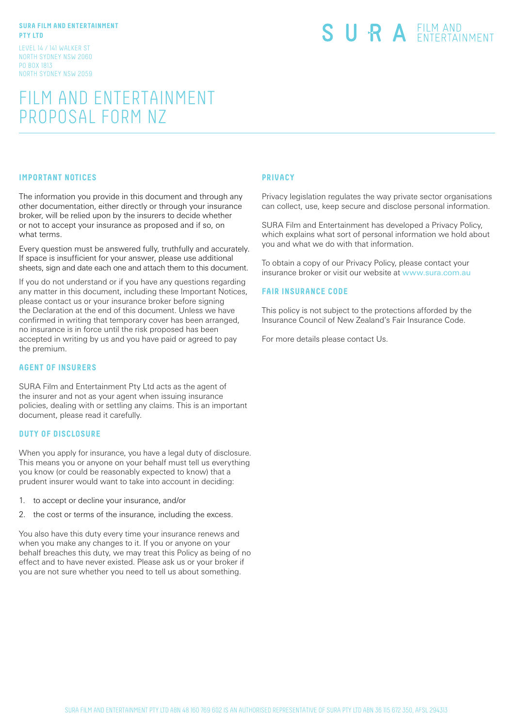#### **SURA FILM AND ENTERTAINMENT PTY LTD**

LEVEL 14 / 141 WALKER ST NORTH SYDNEY NSW 2060 PO BOX 1813 NORTH SYDNEY NSW 2059

# SURA EILM AND

# FILM AND ENTERTAINMENT PROPOSAL FORM NZ

### **IMPORTANT NOTICES**

The information you provide in this document and through any other documentation, either directly or through your insurance broker, will be relied upon by the insurers to decide whether or not to accept your insurance as proposed and if so, on what terms.

Every question must be answered fully, truthfully and accurately. If space is insufficient for your answer, please use additional sheets, sign and date each one and attach them to this document.

If you do not understand or if you have any questions regarding any matter in this document, including these Important Notices, please contact us or your insurance broker before signing the Declaration at the end of this document. Unless we have confirmed in writing that temporary cover has been arranged, no insurance is in force until the risk proposed has been accepted in writing by us and you have paid or agreed to pay the premium.

#### **AGENT OF INSURERS**

SURA Film and Entertainment Pty Ltd acts as the agent of the insurer and not as your agent when issuing insurance policies, dealing with or settling any claims. This is an important document, please read it carefully.

#### **DUTY OF DISCLOSURE**

When you apply for insurance, you have a legal duty of disclosure. This means you or anyone on your behalf must tell us everything you know (or could be reasonably expected to know) that a prudent insurer would want to take into account in deciding:

- 1. to accept or decline your insurance, and/or
- 2. the cost or terms of the insurance, including the excess.

You also have this duty every time your insurance renews and when you make any changes to it. If you or anyone on your behalf breaches this duty, we may treat this Policy as being of no effect and to have never existed. Please ask us or your broker if you are not sure whether you need to tell us about something.

#### **PRIVACY**

Privacy legislation regulates the way private sector organisations can collect, use, keep secure and disclose personal information.

SURA Film and Entertainment has developed a Privacy Policy, which explains what sort of personal information we hold about you and what we do with that information.

To obtain a copy of our Privacy Policy, please contact your insurance broker or visit our website at www.sura.com.au

#### **FAIR INSURANCE CODE**

This policy is not subject to the protections afforded by the Insurance Council of New Zealand's Fair Insurance Code.

For more details please contact Us.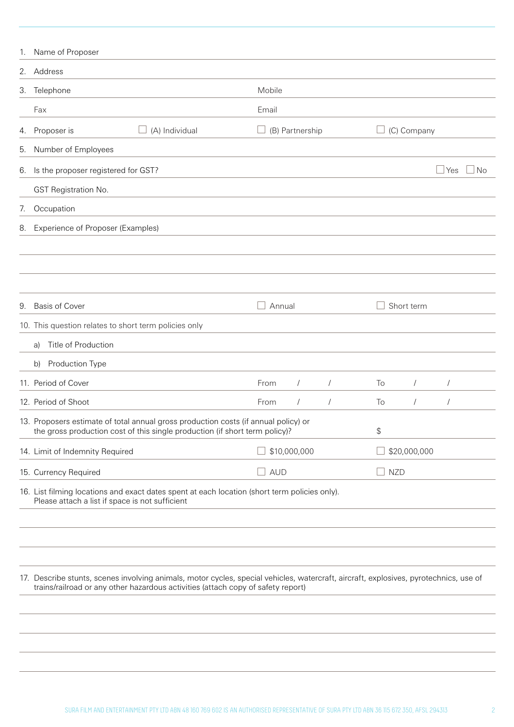| 1.                                                    | Name of Proposer                                                                                                                                                                                                          |                |        |                 |            |    |              |                      |     |
|-------------------------------------------------------|---------------------------------------------------------------------------------------------------------------------------------------------------------------------------------------------------------------------------|----------------|--------|-----------------|------------|----|--------------|----------------------|-----|
|                                                       | 2. Address                                                                                                                                                                                                                |                |        |                 |            |    |              |                      |     |
|                                                       | 3. Telephone                                                                                                                                                                                                              |                | Mobile |                 |            |    |              |                      |     |
|                                                       | Fax                                                                                                                                                                                                                       |                | Email  |                 |            |    |              |                      |     |
| 4.                                                    | Proposer is                                                                                                                                                                                                               | (A) Individual |        | (B) Partnership |            |    | (C) Company  |                      |     |
| 5.                                                    | Number of Employees                                                                                                                                                                                                       |                |        |                 |            |    |              |                      |     |
| 6.                                                    | Is the proposer registered for GST?                                                                                                                                                                                       |                |        |                 |            |    |              | Yes                  | ⊿No |
|                                                       | GST Registration No.                                                                                                                                                                                                      |                |        |                 |            |    |              |                      |     |
| 7.                                                    | Occupation                                                                                                                                                                                                                |                |        |                 |            |    |              |                      |     |
| 8.                                                    | Experience of Proposer (Examples)                                                                                                                                                                                         |                |        |                 |            |    |              |                      |     |
|                                                       |                                                                                                                                                                                                                           |                |        |                 |            |    |              |                      |     |
|                                                       |                                                                                                                                                                                                                           |                |        |                 |            |    |              |                      |     |
|                                                       |                                                                                                                                                                                                                           |                |        |                 |            |    |              |                      |     |
| 9.                                                    | <b>Basis of Cover</b>                                                                                                                                                                                                     |                |        | Annual          |            |    | Short term   |                      |     |
| 10. This question relates to short term policies only |                                                                                                                                                                                                                           |                |        |                 |            |    |              |                      |     |
|                                                       | Title of Production<br>a)                                                                                                                                                                                                 |                |        |                 |            |    |              |                      |     |
|                                                       | Production Type<br>b)                                                                                                                                                                                                     |                |        |                 |            |    |              |                      |     |
|                                                       | 11. Period of Cover                                                                                                                                                                                                       |                | From   | $\sqrt{2}$      | $\sqrt{2}$ | To | $\sqrt{2}$   | $\sqrt{\phantom{a}}$ |     |
|                                                       | 12. Period of Shoot                                                                                                                                                                                                       |                | From   |                 |            | To | $\sqrt{2}$   | $\prime$             |     |
|                                                       | 13. Proposers estimate of total annual gross production costs (if annual policy) or<br>the gross production cost of this single production (if short term policy)?                                                        |                |        |                 |            | \$ |              |                      |     |
|                                                       | 14. Limit of Indemnity Required                                                                                                                                                                                           |                |        | \$10,000,000    |            |    | \$20,000,000 |                      |     |
|                                                       | 15. Currency Required                                                                                                                                                                                                     |                |        | <b>AUD</b>      |            |    | $\Box$ NZD   |                      |     |
|                                                       | 16. List filming locations and exact dates spent at each location (short term policies only).<br>Please attach a list if space is not sufficient                                                                          |                |        |                 |            |    |              |                      |     |
|                                                       |                                                                                                                                                                                                                           |                |        |                 |            |    |              |                      |     |
|                                                       |                                                                                                                                                                                                                           |                |        |                 |            |    |              |                      |     |
|                                                       | 17. Describe stunts, scenes involving animals, motor cycles, special vehicles, watercraft, aircraft, explosives, pyrotechnics, use of<br>trains/railroad or any other hazardous activities (attach copy of safety report) |                |        |                 |            |    |              |                      |     |
|                                                       |                                                                                                                                                                                                                           |                |        |                 |            |    |              |                      |     |
|                                                       |                                                                                                                                                                                                                           |                |        |                 |            |    |              |                      |     |
|                                                       |                                                                                                                                                                                                                           |                |        |                 |            |    |              |                      |     |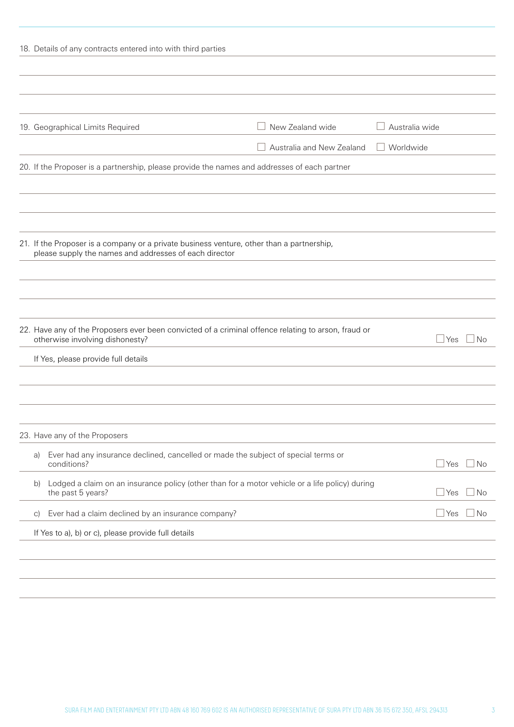| 18. Details of any contracts entered into with third parties |                                                                                                                                                     |                                                                                                                                        |                           |                |              |           |  |
|--------------------------------------------------------------|-----------------------------------------------------------------------------------------------------------------------------------------------------|----------------------------------------------------------------------------------------------------------------------------------------|---------------------------|----------------|--------------|-----------|--|
|                                                              |                                                                                                                                                     |                                                                                                                                        |                           |                |              |           |  |
|                                                              |                                                                                                                                                     |                                                                                                                                        |                           |                |              |           |  |
|                                                              |                                                                                                                                                     |                                                                                                                                        |                           |                |              |           |  |
|                                                              |                                                                                                                                                     | 19. Geographical Limits Required                                                                                                       | New Zealand wide          | Australia wide |              |           |  |
|                                                              |                                                                                                                                                     |                                                                                                                                        | Australia and New Zealand | Worldwide      |              |           |  |
|                                                              |                                                                                                                                                     | 20. If the Proposer is a partnership, please provide the names and addresses of each partner                                           |                           |                |              |           |  |
|                                                              |                                                                                                                                                     |                                                                                                                                        |                           |                |              |           |  |
|                                                              |                                                                                                                                                     |                                                                                                                                        |                           |                |              |           |  |
|                                                              |                                                                                                                                                     |                                                                                                                                        |                           |                |              |           |  |
|                                                              | 21. If the Proposer is a company or a private business venture, other than a partnership,<br>please supply the names and addresses of each director |                                                                                                                                        |                           |                |              |           |  |
|                                                              |                                                                                                                                                     |                                                                                                                                        |                           |                |              |           |  |
|                                                              |                                                                                                                                                     |                                                                                                                                        |                           |                |              |           |  |
|                                                              |                                                                                                                                                     |                                                                                                                                        |                           |                |              |           |  |
|                                                              |                                                                                                                                                     | 22. Have any of the Proposers ever been convicted of a criminal offence relating to arson, fraud or<br>otherwise involving dishonesty? |                           |                | l Yes        | <b>No</b> |  |
|                                                              |                                                                                                                                                     | If Yes, please provide full details                                                                                                    |                           |                |              |           |  |
|                                                              |                                                                                                                                                     |                                                                                                                                        |                           |                |              |           |  |
|                                                              |                                                                                                                                                     |                                                                                                                                        |                           |                |              |           |  |
|                                                              |                                                                                                                                                     |                                                                                                                                        |                           |                |              |           |  |
|                                                              |                                                                                                                                                     | 23. Have any of the Proposers                                                                                                          |                           |                |              |           |  |
|                                                              | a)                                                                                                                                                  | Ever had any insurance declined, cancelled or made the subject of special terms or<br>conditions?                                      |                           |                | $\sqcup$ Yes | l No      |  |
|                                                              | $\mathsf{b}$                                                                                                                                        | Lodged a claim on an insurance policy (other than for a motor vehicle or a life policy) during<br>the past 5 years?                    |                           |                | $\sqcup$ Yes | l No      |  |
|                                                              | $\vert$ C)                                                                                                                                          | Ever had a claim declined by an insurance company?                                                                                     |                           |                | $\sqcup$ Yes | No        |  |
|                                                              |                                                                                                                                                     | If Yes to a), b) or c), please provide full details                                                                                    |                           |                |              |           |  |
|                                                              |                                                                                                                                                     |                                                                                                                                        |                           |                |              |           |  |
|                                                              |                                                                                                                                                     |                                                                                                                                        |                           |                |              |           |  |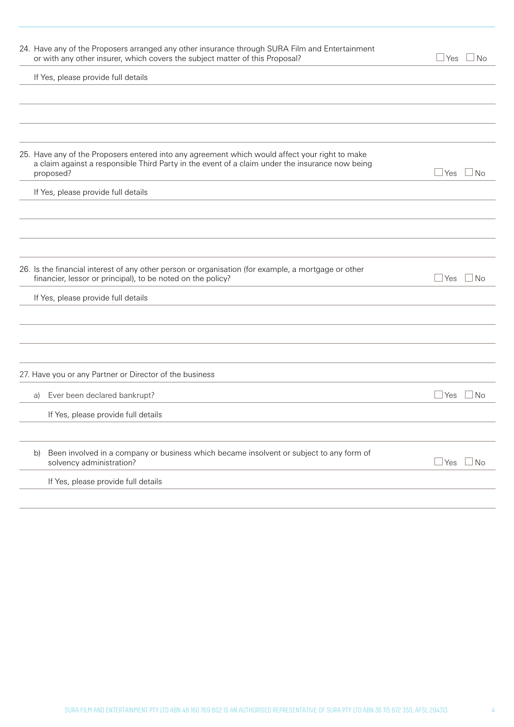| 24. Have any of the Proposers arranged any other insurance through SURA Film and Entertainment<br>or with any other insurer, which covers the subject matter of this Proposal?                                 | $\Box$ Yes $\Box$ No    |
|----------------------------------------------------------------------------------------------------------------------------------------------------------------------------------------------------------------|-------------------------|
| If Yes, please provide full details                                                                                                                                                                            |                         |
|                                                                                                                                                                                                                |                         |
|                                                                                                                                                                                                                |                         |
|                                                                                                                                                                                                                |                         |
| 25. Have any of the Proposers entered into any agreement which would affect your right to make<br>a claim against a responsible Third Party in the event of a claim under the insurance now being<br>proposed? | $\Box$ Yes<br>$\Box$ No |
| If Yes, please provide full details                                                                                                                                                                            |                         |
|                                                                                                                                                                                                                |                         |
|                                                                                                                                                                                                                |                         |
|                                                                                                                                                                                                                |                         |
| 26. Is the financial interest of any other person or organisation (for example, a mortgage or other<br>financier, lessor or principal), to be noted on the policy?                                             | $\Box$ Yes $\Box$ No    |
| If Yes, please provide full details                                                                                                                                                                            |                         |
|                                                                                                                                                                                                                |                         |
|                                                                                                                                                                                                                |                         |
|                                                                                                                                                                                                                |                         |
| 27. Have you or any Partner or Director of the business                                                                                                                                                        |                         |
| Ever been declared bankrupt?<br>a)                                                                                                                                                                             | $\Box$ Yes $\Box$ No    |
| If Yes, please provide full details                                                                                                                                                                            |                         |
|                                                                                                                                                                                                                |                         |
| Been involved in a company or business which became insolvent or subject to any form of<br>b)<br>solvency administration?                                                                                      | $\Box$ Yes $\Box$ No    |
| If Yes, please provide full details                                                                                                                                                                            |                         |
|                                                                                                                                                                                                                |                         |